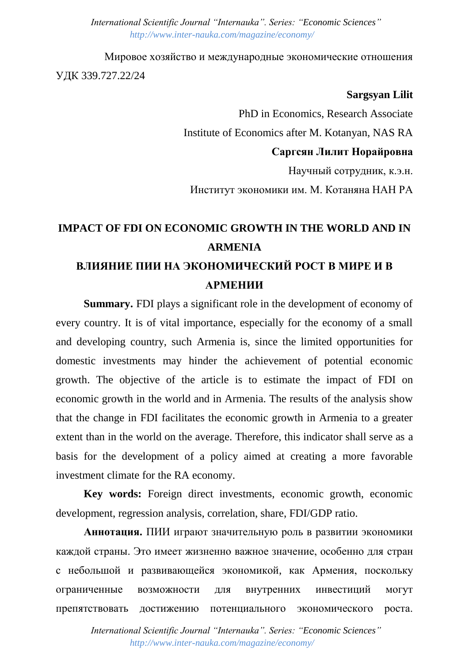*International Scientific Journal "Internauka". Series: "Economic Sciences" http://www.inter-nauka.com/magazine/economy/*

Мировое хозяйство и международные экономические отношения УДК 339.727.22/24

## **Sargsyan Lilit**

PhD in Economics, Research Associate Institute of Economics after M. Kotanyan, NAS RA **Саргсян Лилит Норайровна** Научный сотрудник, к.э.н. Институт экономики им. М. Котаняна НАН РА

## **IMPACT OF FDI ON ECONOMIC GROWTH IN THE WORLD AND IN ARMENIA ВЛИЯНИЕ ПИИ НА ЭКОНОМИЧЕСКИЙ РОСТ В МИРЕ И В АРМЕНИИ**

**Summary.** FDI plays a significant role in the development of economy of every country. It is of vital importance, especially for the economy of a small and developing country, such Armenia is, since the limited opportunities for domestic investments may hinder the achievement of potential economic growth. The objective of the article is to estimate the impact of FDI on economic growth in the world and in Armenia. The results of the analysis show that the change in FDI facilitates the economic growth in Armenia to a greater extent than in the world on the average. Therefore, this indicator shall serve as a basis for the development of a policy aimed at creating a more favorable investment climate for the RA economy.

**Key words:** Foreign direct investments, economic growth, economic development, regression analysis, correlation, share, FDI/GDP ratio.

**Аннотация.** ПИИ играют значительную роль в развитии экономики каждой страны. Это имеет жизненно важное значение, особенно для стран с небольшой и развивающейся экономикой, как Армения, поскольку ограниченные возможности для внутренних инвестиций могут препятствовать достижению потенциального экономического роста.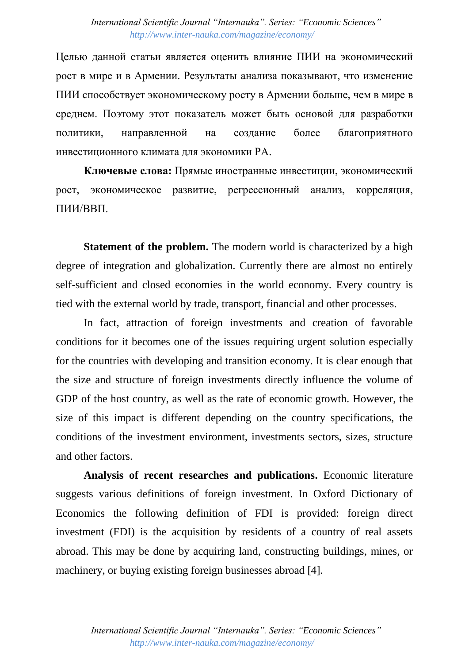Целью данной статьи является оценить влияние ПИИ на экономический рост в мире и в Армении. Результаты анализа показывают, что изменение ПИИ способствует экономическому росту в Армении больше, чем в мире в среднем. Поэтому этот показатель может быть основой для разработки политики, направленной на создание более благоприятного инвестиционного климата для экономики РА.

**Ключевые слова:** Прямые иностранные инвестиции, экономический рост, экономическое развитие, регрессионный анализ, корреляция, ПИИ/ВВП.

**Statement of the problem.** The modern world is characterized by a high degree of integration and globalization. Currently there are almost no entirely self-sufficient and closed economies in the world economy. Every country is tied with the external world by trade, transport, financial and other processes.

In fact, attraction of foreign investments and creation of favorable conditions for it becomes one of the issues requiring urgent solution especially for the countries with developing and transition economy. It is clear enough that the size and structure of foreign investments directly influence the volume of GDP of the host country, as well as the rate of economic growth. However, the size of this impact is different depending on the country specifications, the conditions of the investment environment, investments sectors, sizes, structure and other factors.

**Analysis of recent researches and publications.** Economic literature suggests various definitions of foreign investment. In Oxford Dictionary of Economics the following definition of FDI is provided: foreign direct investment (FDI) is the acquisition by residents of a country of real assets abroad. This may be done by acquiring land, constructing buildings, mines, or machinery, or buying existing foreign businesses abroad [4].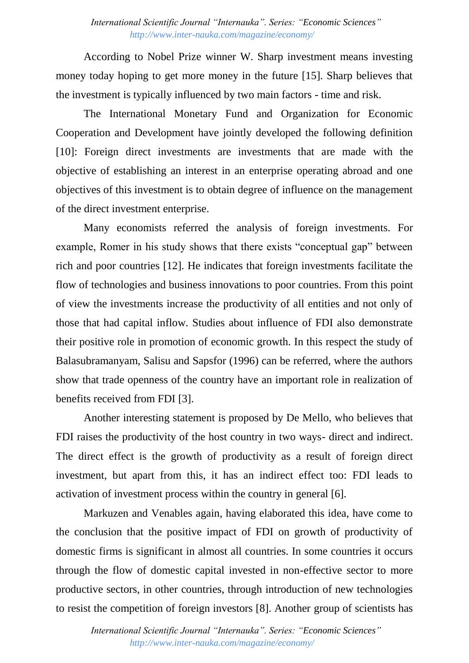According to Nobel Prize winner W. Sharp investment means investing money today hoping to get more money in the future [15]. Sharp believes that the investment is typically influenced by two main factors - time and risk.

The International Monetary Fund and Organization for Economic Cooperation and Development have jointly developed the following definition [10]: Foreign direct investments are investments that are made with the objective of establishing an interest in an enterprise operating abroad and one objectives of this investment is to obtain degree of influence on the management of the direct investment enterprise.

Many economists referred the analysis of foreign investments. For example, Romer in his study shows that there exists "conceptual gap" between rich and poor countries [12]. He indicates that foreign investments facilitate the flow of technologies and business innovations to poor countries. From this point of view the investments increase the productivity of all entities and not only of those that had capital inflow. Studies about influence of FDI also demonstrate their positive role in promotion of economic growth. In this respect the study of Balasubramanyam, Salisu and Sapsfor (1996) can be referred, where the authors show that trade openness of the country have an important role in realization of benefits received from FDI [3].

Another interesting statement is proposed by De Mello, who believes that FDI raises the productivity of the host country in two ways- direct and indirect. The direct effect is the growth of productivity as a result of foreign direct investment, but apart from this, it has an indirect effect too: FDI leads to activation of investment process within the country in general [6].

Markuzen and Venables again, having elaborated this idea, have come to the conclusion that the positive impact of FDI on growth of productivity of domestic firms is significant in almost all countries. In some countries it occurs through the flow of domestic capital invested in non-effective sector to more productive sectors, in other countries, through introduction of new technologies to resist the competition of foreign investors [8]. Another group of scientists has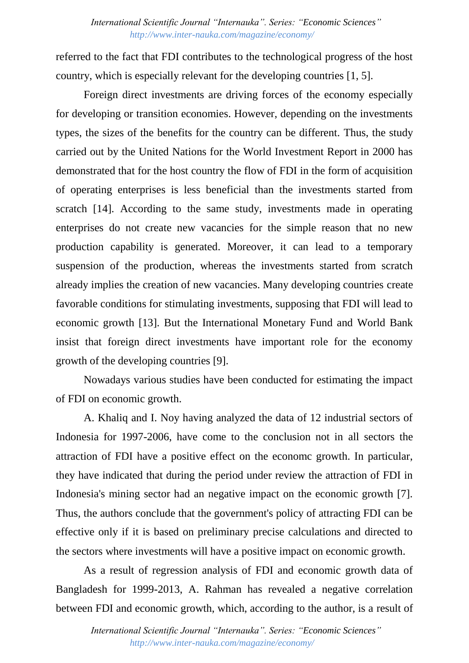referred to the fact that FDI contributes to the technological progress of the host country, which is especially relevant for the developing countries [1, 5].

Foreign direct investments are driving forces of the economy especially for developing or transition economies. However, depending on the investments types, the sizes of the benefits for the country can be different. Thus, the study carried out by the United Nations for the World Investment Report in 2000 has demonstrated that for the host country the flow of FDI in the form of acquisition of operating enterprises is less beneficial than the investments started from scratch [14]. According to the same study, investments made in operating enterprises do not create new vacancies for the simple reason that no new production capability is generated. Moreover, it can lead to a temporary suspension of the production, whereas the investments started from scratch already implies the creation of new vacancies. Many developing countries create favorable conditions for stimulating investments, supposing that FDI will lead to economic growth [13]. But the International Monetary Fund and World Bank insist that foreign direct investments have important role for the economy growth of the developing countries [9].

Nowadays various studies have been conducted for estimating the impact of FDI on economic growth.

A. Khaliq and I. Noy having analyzed the data of 12 industrial sectors of Indonesia for 1997-2006, have come to the conclusion not in all sectors the attraction of FDI have a positive effect on the economc growth. In particular, they have indicated that during the period under review the attraction of FDI in Indonesia's mining sector had an negative impact on the economic growth [7]. Thus, the authors conclude that the government's policy of attracting FDI can be effective only if it is based on preliminary precise calculations and directed to the sectors where investments will have a positive impact on economic growth.

As a result of regression analysis of FDI and economic growth data of Bangladesh for 1999-2013, A. Rahman has revealed a negative correlation between FDI and economic growth, which, according to the author, is a result of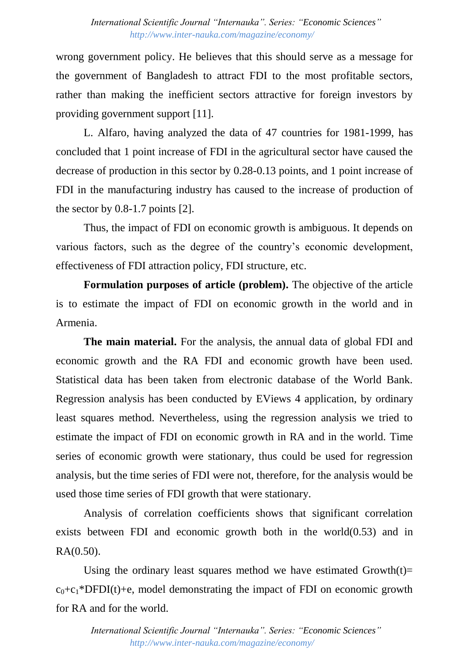wrong government policy. He believes that this should serve as a message for the government of Bangladesh to attract FDI to the most profitable sectors, rather than making the inefficient sectors attractive for foreign investors by providing government support [11].

L. Alfaro, having analyzed the data of 47 countries for 1981-1999, has concluded that 1 point increase of FDI in the agricultural sector have caused the decrease of production in this sector by 0.28-0.13 points, and 1 point increase of FDI in the manufacturing industry has caused to the increase of production of the sector by 0.8-1.7 points [2].

Thus, the impact of FDI on economic growth is ambiguous. It depends on various factors, such as the degree of the country's economic development, effectiveness of FDI attraction policy, FDI structure, etc.

**Formulation purposes of article (problem).** The objective of the article is to estimate the impact of FDI on economic growth in the world and in Armenia.

**The main material.** For the analysis, the annual data of global FDI and economic growth and the RA FDI and economic growth have been used. Statistical data has been taken from electronic database of the World Bank. Regression analysis has been conducted by EViews 4 application, by ordinary least squares method. Nevertheless, using the regression analysis we tried to estimate the impact of FDI on economic growth in RA and in the world. Time series of economic growth were stationary, thus could be used for regression analysis, but the time series of FDI were not, therefore, for the analysis would be used those time series of FDI growth that were stationary.

Analysis of correlation coefficients shows that significant correlation exists between FDI and economic growth both in the world(0.53) and in RA(0.50).

Using the ordinary least squares method we have estimated Growth $(t)=$  $c_0+c_1*DFDI(t)+e$ , model demonstrating the impact of FDI on economic growth for RA and for the world.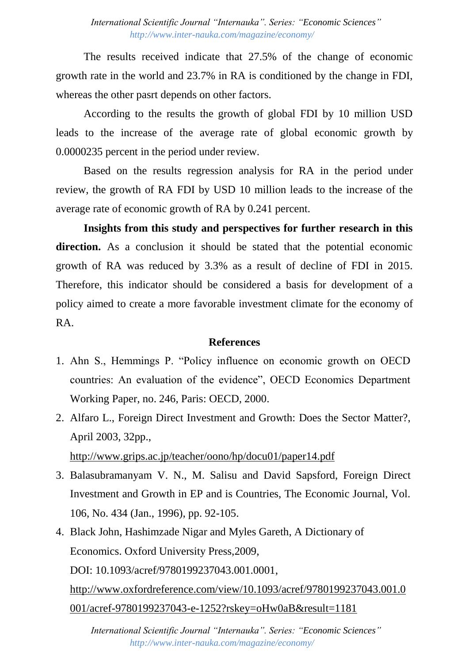The results received indicate that 27.5% of the change of economic growth rate in the world and 23.7% in RA is conditioned by the change in FDI, whereas the other pasrt depends on other factors.

According to the results the growth of global FDI by 10 million USD leads to the increase of the average rate of global economic growth by 0.0000235 percent in the period under review.

Based on the results regression analysis for RA in the period under review, the growth of RA FDI by USD 10 million leads to the increase of the average rate of economic growth of RA by 0.241 percent.

**Insights from this study and perspectives for further research in this**  direction. As a conclusion it should be stated that the potential economic growth of RA was reduced by 3.3% as a result of decline of FDI in 2015. Therefore, this indicator should be considered a basis for development of a policy aimed to create a more favorable investment climate for the economy of RA.

## **References**

- 1. Ahn S., Hemmings P. "Policy influence on economic growth on OECD countries: An evaluation of the evidence", OECD Economics Department Working Paper, no. 246, Paris: OECD, 2000.
- 2. Alfaro L., Foreign Direct Investment and Growth: Does the Sector Matter?, April 2003, 32pp., <http://www.grips.ac.jp/teacher/oono/hp/docu01/paper14.pdf>
- 3. Balasubramanyam V. N., M. Salisu and David Sapsford, Foreign Direct Investment and Growth in EP and is Countries, The Economic Journal, Vol. 106, No. 434 (Jan., 1996), pp. 92-105.
- 4. Black John, Hashimzade Nigar and Myles Gareth, A Dictionary of Economics. Oxford University Press,2009, DOI: 10.1093/acref/9780199237043.001.0001, [http://www.oxfordreference.com/view/10.1093/acref/9780199237043.001.0](http://www.oxfordreference.com/view/10.1093/acref/9780199237043.001.0001/acref-9780199237043-e-1252?rskey=oHw0aB&result=1181) [001/acref-9780199237043-e-1252?rskey=oHw0aB&result=1181](http://www.oxfordreference.com/view/10.1093/acref/9780199237043.001.0001/acref-9780199237043-e-1252?rskey=oHw0aB&result=1181)

*International Scientific Journal "Internauka". Series: "Economic Sciences" http://www.inter-nauka.com/magazine/economy/*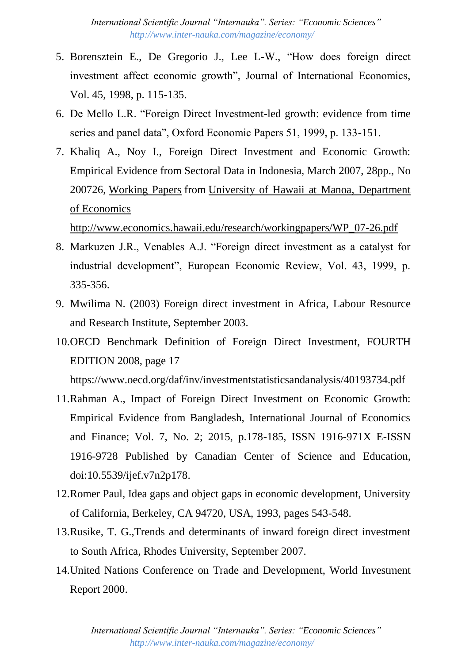- 5. Borensztein E., De Gregorio J., Lee L-W., "How does foreign direct investment affect economic growth", Journal of International Economics, Vol. 45, 1998, p. 115-135.
- 6. De Mello L.R. "Foreign Direct Investment-led growth: evidence from time series and panel data", Oxford Economic Papers 51, 1999, p. 133-151.
- 7. Khaliq A., Noy I., Foreign Direct Investment and Economic Growth: Empirical Evidence from Sectoral Data in Indonesia, March 2007, 28pp., No 200726, [Working Papers](http://econpapers.repec.org/paper/haiwpaper/) from [University of Hawaii at Manoa, Department](http://www.economics.hawaii.edu/)  [of Economics](http://www.economics.hawaii.edu/)

[http://www.economics.hawaii.edu/research/workingpapers/WP\\_07-26.pdf](http://www.economics.hawaii.edu/research/workingpapers/WP_07-26.pdf)

- 8. Markuzen J.R., Venables A.J. "Foreign direct investment as a catalyst for industrial development", European Economic Review, Vol. 43, 1999, p. 335-356.
- 9. Mwilima N. (2003) Foreign direct investment in Africa, Labour Resource and Research Institute, September 2003.
- 10.OECD Benchmark Definition of Foreign Direct Investment, FOURTH EDITION 2008, page 17

https://www.oecd.org/daf/inv/investmentstatisticsandanalysis/40193734.pdf

- 11.Rahman A., Impact of Foreign Direct Investment on Economic Growth: Empirical Evidence from Bangladesh, International Journal of Economics and Finance; Vol. 7, No. 2; 2015, p.178-185, ISSN 1916-971X E-ISSN 1916-9728 Published by Canadian Center of Science and Education, doi:10.5539/ijef.v7n2p178.
- 12.Romer Paul, Idea gaps and object gaps in economic development, University of California, Berkeley, CA 94720, USA, 1993, pages 543-548.
- 13.Rusike, T. G.,Trends and determinants of inward foreign direct investment to South Africa, Rhodes University, September 2007.
- 14.United Nations Conference on Trade and Development, World Investment Report 2000.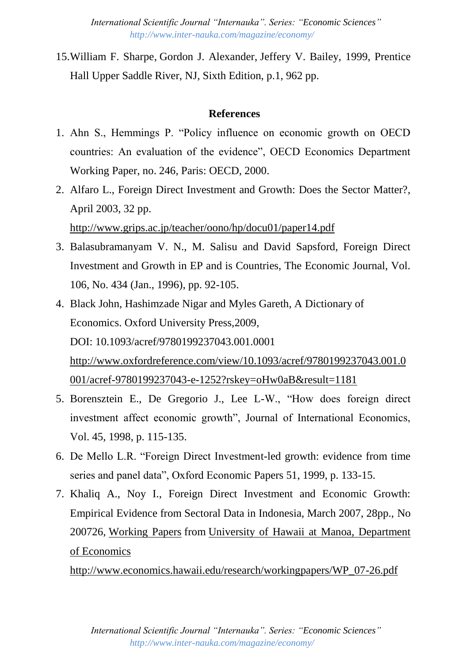*International Scientific Journal "Internauka". Series: "Economic Sciences" http://www.inter-nauka.com/magazine/economy/*

15[.William F. Sharpe,](https://www.google.am/search?hl=ru&tbo=p&tbm=bks&q=inauthor:%22William+F.+Sharpe%22) [Gordon J. Alexander,](https://www.google.am/search?hl=ru&tbo=p&tbm=bks&q=inauthor:%22Gordon+J.+Alexander%22) [Jeffery V. Bailey,](https://www.google.am/search?hl=ru&tbo=p&tbm=bks&q=inauthor:%22Jeffery+V.+Bailey%22) 1999, Prentice Hall Upper Saddle River, NJ, Sixth Edition, p.1, 962 pp.

## **References**

- 1. Ahn S., Hemmings P. "Policy influence on economic growth on OECD countries: An evaluation of the evidence", OECD Economics Department Working Paper, no. 246, Paris: OECD, 2000.
- 2. Alfaro L., Foreign Direct Investment and Growth: Does the Sector Matter?, April 2003, 32 pp.

<http://www.grips.ac.jp/teacher/oono/hp/docu01/paper14.pdf>

- 3. Balasubramanyam V. N., M. Salisu and David Sapsford, Foreign Direct Investment and Growth in EP and is Countries, The Economic Journal, Vol. 106, No. 434 (Jan., 1996), pp. 92-105.
- 4. Black John, Hashimzade Nigar and Myles Gareth, A Dictionary of Economics. Oxford University Press,2009, DOI: 10.1093/acref/9780199237043.001.0001 [http://www.oxfordreference.com/view/10.1093/acref/9780199237043.001.0](http://www.oxfordreference.com/view/10.1093/acref/9780199237043.001.0001/acref-9780199237043-e-1252?rskey=oHw0aB&result=1181) [001/acref-9780199237043-e-1252?rskey=oHw0aB&result=1181](http://www.oxfordreference.com/view/10.1093/acref/9780199237043.001.0001/acref-9780199237043-e-1252?rskey=oHw0aB&result=1181)
- 5. Borensztein E., De Gregorio J., Lee L-W., "How does foreign direct investment affect economic growth", Journal of International Economics, Vol. 45, 1998, p. 115-135.
- 6. De Mello L.R. "Foreign Direct Investment-led growth: evidence from time series and panel data", Oxford Economic Papers 51, 1999, p. 133-15.
- 7. Khaliq A., Noy I., Foreign Direct Investment and Economic Growth: Empirical Evidence from Sectoral Data in Indonesia, March 2007, 28pp., No 200726, [Working Papers](http://econpapers.repec.org/paper/haiwpaper/) from [University of Hawaii at Manoa, Department](http://www.economics.hawaii.edu/)  [of Economics](http://www.economics.hawaii.edu/)

[http://www.economics.hawaii.edu/research/workingpapers/WP\\_07-26.pdf](http://www.economics.hawaii.edu/research/workingpapers/WP_07-26.pdf)